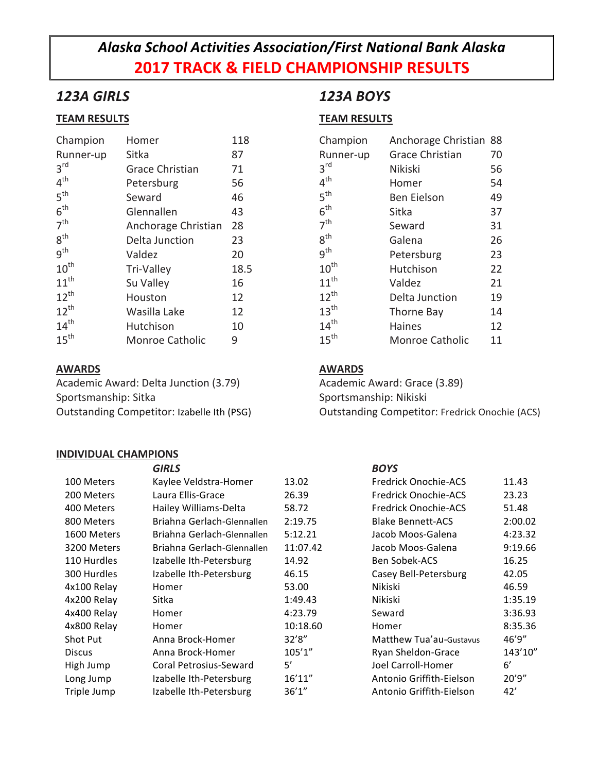# *Alaska School Activities Association/First National Bank Alaska* **2017 TRACK & FIELD CHAMPIONSHIP RESULTS**

### *123A GIRLS*

### **TEAM RESULTS**

| Champion         | Homer                  | 118  |
|------------------|------------------------|------|
| Runner-up        | Sitka                  | 87   |
| $3^{\text{rd}}$  | Grace Christian        | 71   |
| 4 <sup>th</sup>  | Petersburg             | 56   |
| 5 <sup>th</sup>  | Seward                 | 46   |
| 6 <sup>th</sup>  | Glennallen             | 43   |
| 7 <sup>th</sup>  | Anchorage Christian    | 28   |
| 8 <sup>th</sup>  | Delta Junction         | 23   |
| 9 <sup>th</sup>  | Valdez                 | 20   |
| $10^{\text{th}}$ | Tri-Valley             | 18.5 |
| $11^{th}$        | Su Valley              | 16   |
| $12^{th}$        | Houston                | 12   |
| $12^{th}$        | Wasilla Lake           | 12   |
| $14^{th}$        | Hutchison              | 10   |
| $15^{\text{th}}$ | <b>Monroe Catholic</b> | 9    |

### **AWARDS**

Academic Award: Delta Junction (3.79) Sportsmanship: Sitka Outstanding Competitor: Izabelle Ith (PSG)

#### **INDIVIDUAL CHAMPIONS**

## *123A BOYS*

### **TEAM RESULTS**

| Champion         | Anchorage Christian 88 |    |
|------------------|------------------------|----|
| Runner-up        | <b>Grace Christian</b> | 70 |
| $3^{\text{rd}}$  | Nikiski                | 56 |
| 4 <sup>th</sup>  | Homer                  | 54 |
| 5 <sup>th</sup>  | <b>Ben Eielson</b>     | 49 |
| 6 <sup>th</sup>  | Sitka                  | 37 |
| 7 <sup>th</sup>  | Seward                 | 31 |
| 8 <sup>th</sup>  | Galena                 | 26 |
| q <sup>th</sup>  | Petersburg             | 23 |
| $10^{th}$        | Hutchison              | 22 |
| $11^{th}$        | Valdez                 | 21 |
| $12^{th}$        | Delta Junction         | 19 |
| 13 <sup>th</sup> | Thorne Bay             | 14 |
| $14^{th}$        | <b>Haines</b>          | 12 |
| $15^{\text{th}}$ | Monroe Catholic        | 11 |

### **AWARDS**

Academic Award: Grace (3.89) Sportsmanship: Nikiski Outstanding Competitor: Fredrick Onochie (ACS)

|                 | <b>GIRLS</b>               |          | <b>BOYS</b>                 |         |
|-----------------|----------------------------|----------|-----------------------------|---------|
| 100 Meters      | Kaylee Veldstra-Homer      | 13.02    | Fredrick Onochie-ACS        | 11.43   |
| 200 Meters      | Laura Ellis-Grace          | 26.39    | <b>Fredrick Onochie-ACS</b> | 23.23   |
| 400 Meters      | Hailey Williams-Delta      | 58.72    | Fredrick Onochie-ACS        | 51.48   |
| 800 Meters      | Briahna Gerlach-Glennallen | 2:19.75  | <b>Blake Bennett-ACS</b>    | 2:00.02 |
| 1600 Meters     | Briahna Gerlach-Glennallen | 5:12.21  | Jacob Moos-Galena           | 4:23.32 |
| 3200 Meters     | Briahna Gerlach-Glennallen | 11:07.42 | Jacob Moos-Galena           | 9:19.66 |
| 110 Hurdles     | Izabelle Ith-Petersburg    | 14.92    | <b>Ben Sobek-ACS</b>        | 16.25   |
| 300 Hurdles     | Izabelle Ith-Petersburg    | 46.15    | Casey Bell-Petersburg       | 42.05   |
| 4x100 Relay     | Homer                      | 53.00    | Nikiski                     | 46.59   |
| 4x200 Relay     | Sitka                      | 1:49.43  | Nikiski                     | 1:35.19 |
| 4x400 Relay     | Homer                      | 4:23.79  | Seward                      | 3:36.93 |
| 4x800 Relay     | Homer                      | 10:18.60 | Homer                       | 8:35.36 |
| <b>Shot Put</b> | Anna Brock-Homer           | 32'8''   | Matthew Tua'au-Gustavus     | 46'9"   |
| <b>Discus</b>   | Anna Brock-Homer           | 105'1''  | Ryan Sheldon-Grace          | 143'10" |
| High Jump       | Coral Petrosius-Seward     | 5'       | Joel Carroll-Homer          | 6'      |
| Long Jump       | Izabelle Ith-Petersburg    | 16'11"   | Antonio Griffith-Eielson    | 20'9"   |
| Triple Jump     | Izabelle Ith-Petersburg    | 36'1''   | Antonio Griffith-Eielson    | 42'     |